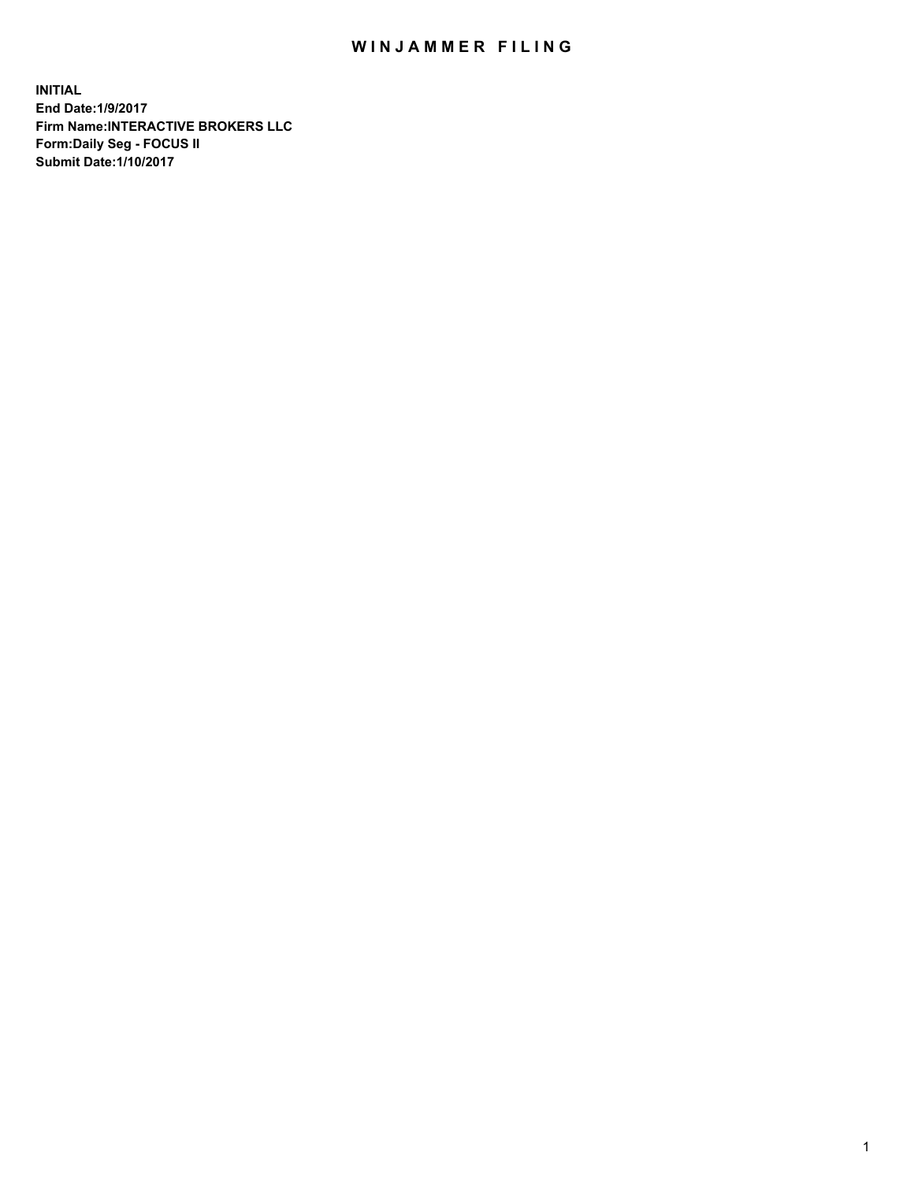## WIN JAMMER FILING

**INITIAL End Date:1/9/2017 Firm Name:INTERACTIVE BROKERS LLC Form:Daily Seg - FOCUS II Submit Date:1/10/2017**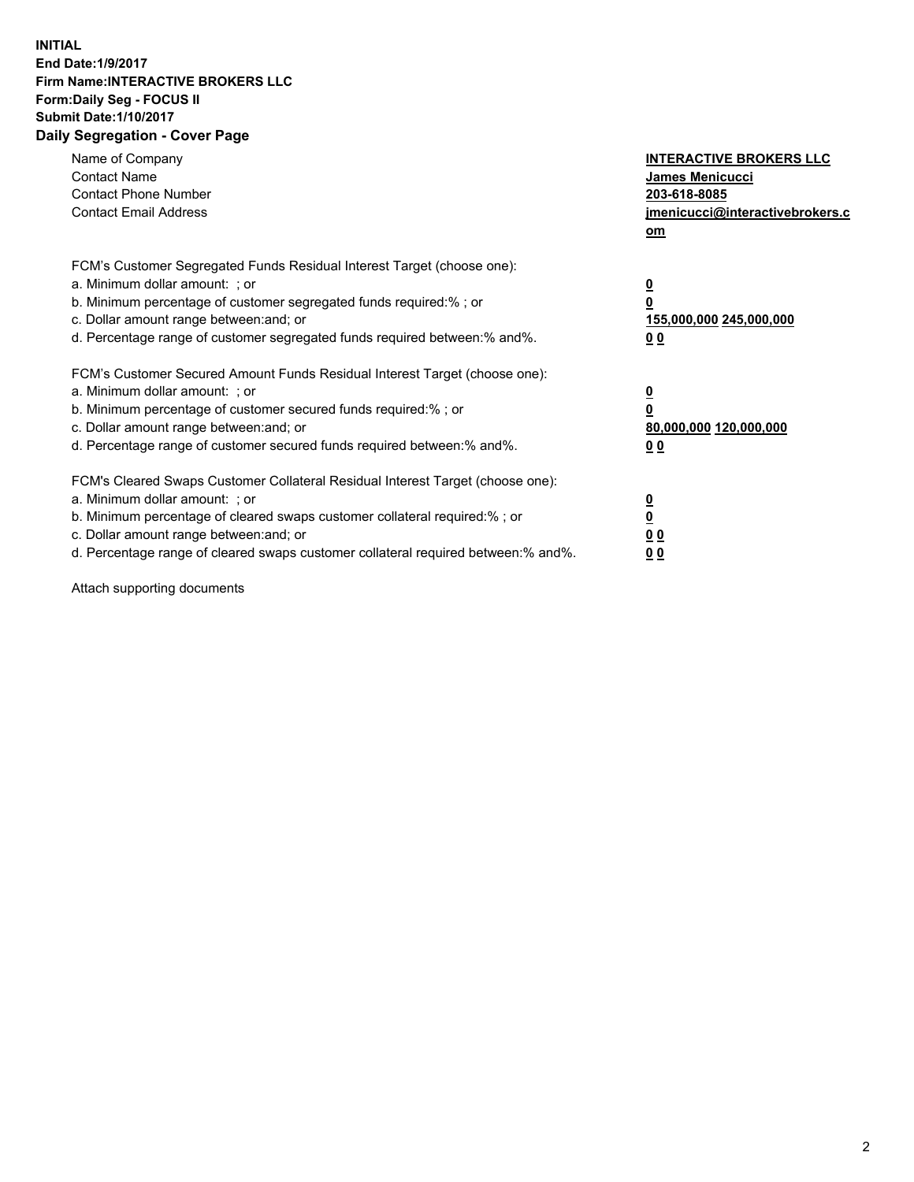## **INITIAL End Date:1/9/2017 Firm Name:INTERACTIVE BROKERS LLC Form:Daily Seg - FOCUS II Submit Date:1/10/2017 Daily Segregation - Cover Page**

| Name of Company<br><b>Contact Name</b><br><b>Contact Phone Number</b><br><b>Contact Email Address</b>                                                                                                                                                                                                                          | <b>INTERACTIVE BROKERS LLC</b><br><b>James Menicucci</b><br>203-618-8085<br>jmenicucci@interactivebrokers.c<br>om |
|--------------------------------------------------------------------------------------------------------------------------------------------------------------------------------------------------------------------------------------------------------------------------------------------------------------------------------|-------------------------------------------------------------------------------------------------------------------|
| FCM's Customer Segregated Funds Residual Interest Target (choose one):<br>a. Minimum dollar amount: ; or<br>b. Minimum percentage of customer segregated funds required:% ; or<br>c. Dollar amount range between: and; or<br>d. Percentage range of customer segregated funds required between: % and %.                       | $\overline{\mathbf{0}}$<br>0<br>155,000,000 245,000,000<br>00                                                     |
| FCM's Customer Secured Amount Funds Residual Interest Target (choose one):<br>a. Minimum dollar amount: ; or<br>b. Minimum percentage of customer secured funds required:%; or<br>c. Dollar amount range between: and; or<br>d. Percentage range of customer secured funds required between: % and %.                          | $\overline{\mathbf{0}}$<br>0<br>80,000,000 120,000,000<br>00                                                      |
| FCM's Cleared Swaps Customer Collateral Residual Interest Target (choose one):<br>a. Minimum dollar amount: ; or<br>b. Minimum percentage of cleared swaps customer collateral required:% ; or<br>c. Dollar amount range between: and; or<br>d. Percentage range of cleared swaps customer collateral required between:% and%. | $\overline{\mathbf{0}}$<br>$\overline{\mathbf{0}}$<br>00<br>0 <sub>0</sub>                                        |

Attach supporting documents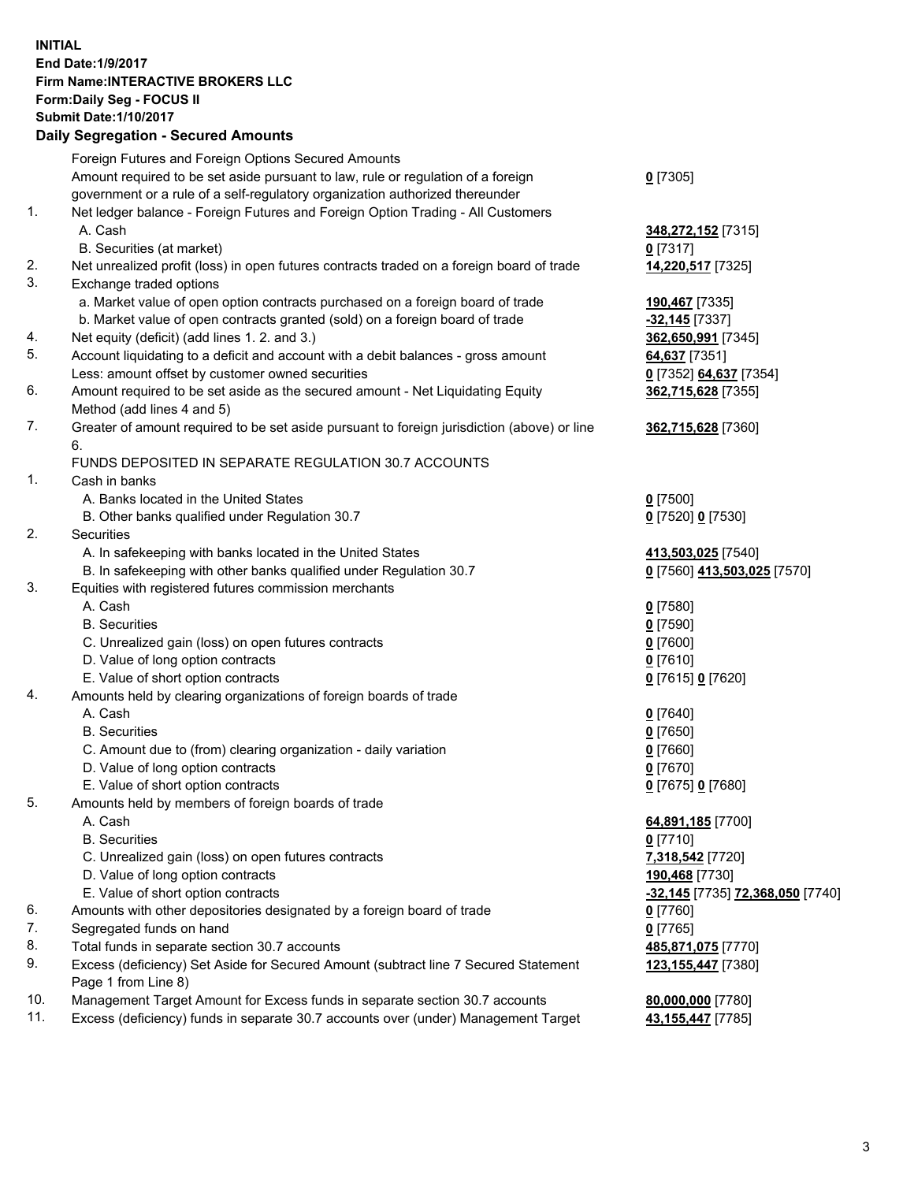## **INITIAL End Date:1/9/2017 Firm Name:INTERACTIVE BROKERS LLC Form:Daily Seg - FOCUS II Submit Date:1/10/2017 Daily Segregation - Secured Amounts**

|     | Daily Jegregation - Jeculed Aniounts                                                        |                                  |
|-----|---------------------------------------------------------------------------------------------|----------------------------------|
|     | Foreign Futures and Foreign Options Secured Amounts                                         |                                  |
|     | Amount required to be set aside pursuant to law, rule or regulation of a foreign            | $0$ [7305]                       |
|     | government or a rule of a self-regulatory organization authorized thereunder                |                                  |
| 1.  | Net ledger balance - Foreign Futures and Foreign Option Trading - All Customers             |                                  |
|     | A. Cash                                                                                     | 348,272,152 [7315]               |
|     | B. Securities (at market)                                                                   | $0$ [7317]                       |
| 2.  | Net unrealized profit (loss) in open futures contracts traded on a foreign board of trade   | 14,220,517 [7325]                |
| 3.  | Exchange traded options                                                                     |                                  |
|     | a. Market value of open option contracts purchased on a foreign board of trade              | 190,467 [7335]                   |
|     | b. Market value of open contracts granted (sold) on a foreign board of trade                | $-32,145$ [7337]                 |
| 4.  | Net equity (deficit) (add lines 1. 2. and 3.)                                               | 362,650,991 [7345]               |
| 5.  | Account liquidating to a deficit and account with a debit balances - gross amount           | 64,637 [7351]                    |
|     | Less: amount offset by customer owned securities                                            | 0 [7352] 64,637 [7354]           |
| 6.  | Amount required to be set aside as the secured amount - Net Liquidating Equity              | 362,715,628 [7355]               |
|     | Method (add lines 4 and 5)                                                                  |                                  |
| 7.  | Greater of amount required to be set aside pursuant to foreign jurisdiction (above) or line | 362,715,628 [7360]               |
|     | 6.                                                                                          |                                  |
|     | FUNDS DEPOSITED IN SEPARATE REGULATION 30.7 ACCOUNTS                                        |                                  |
| 1.  | Cash in banks                                                                               |                                  |
|     | A. Banks located in the United States                                                       | $0$ [7500]                       |
|     | B. Other banks qualified under Regulation 30.7                                              | 0 [7520] 0 [7530]                |
| 2.  | Securities                                                                                  |                                  |
|     | A. In safekeeping with banks located in the United States                                   | 413,503,025 [7540]               |
|     | B. In safekeeping with other banks qualified under Regulation 30.7                          | 0 [7560] 413,503,025 [7570]      |
| 3.  | Equities with registered futures commission merchants                                       |                                  |
|     | A. Cash                                                                                     | $0$ [7580]                       |
|     | <b>B.</b> Securities                                                                        | $0$ [7590]                       |
|     | C. Unrealized gain (loss) on open futures contracts                                         | $0$ [7600]                       |
|     | D. Value of long option contracts                                                           |                                  |
|     | E. Value of short option contracts                                                          | $0$ [7610]                       |
| 4.  |                                                                                             | 0 [7615] 0 [7620]                |
|     | Amounts held by clearing organizations of foreign boards of trade<br>A. Cash                |                                  |
|     | <b>B.</b> Securities                                                                        | $0$ [7640]                       |
|     |                                                                                             | $0$ [7650]                       |
|     | C. Amount due to (from) clearing organization - daily variation                             | $0$ [7660]                       |
|     | D. Value of long option contracts                                                           | $0$ [7670]                       |
|     | E. Value of short option contracts                                                          | 0 [7675] 0 [7680]                |
| 5.  | Amounts held by members of foreign boards of trade                                          |                                  |
|     | A. Cash                                                                                     | 64,891,185 [7700]                |
|     | <b>B.</b> Securities                                                                        | $0$ [7710]                       |
|     | C. Unrealized gain (loss) on open futures contracts                                         | 7,318,542 [7720]                 |
|     | D. Value of long option contracts                                                           | 190,468 [7730]                   |
|     | E. Value of short option contracts                                                          | -32,145 [7735] 72,368,050 [7740] |
| 6.  | Amounts with other depositories designated by a foreign board of trade                      | 0 [7760]                         |
| 7.  | Segregated funds on hand                                                                    | $0$ [7765]                       |
| 8.  | Total funds in separate section 30.7 accounts                                               | 485,871,075 [7770]               |
| 9.  | Excess (deficiency) Set Aside for Secured Amount (subtract line 7 Secured Statement         | 123, 155, 447 [7380]             |
|     | Page 1 from Line 8)                                                                         |                                  |
| 10. | Management Target Amount for Excess funds in separate section 30.7 accounts                 | 80,000,000 [7780]                |
| 11. | Excess (deficiency) funds in separate 30.7 accounts over (under) Management Target          | 43,155,447 [7785]                |
|     |                                                                                             |                                  |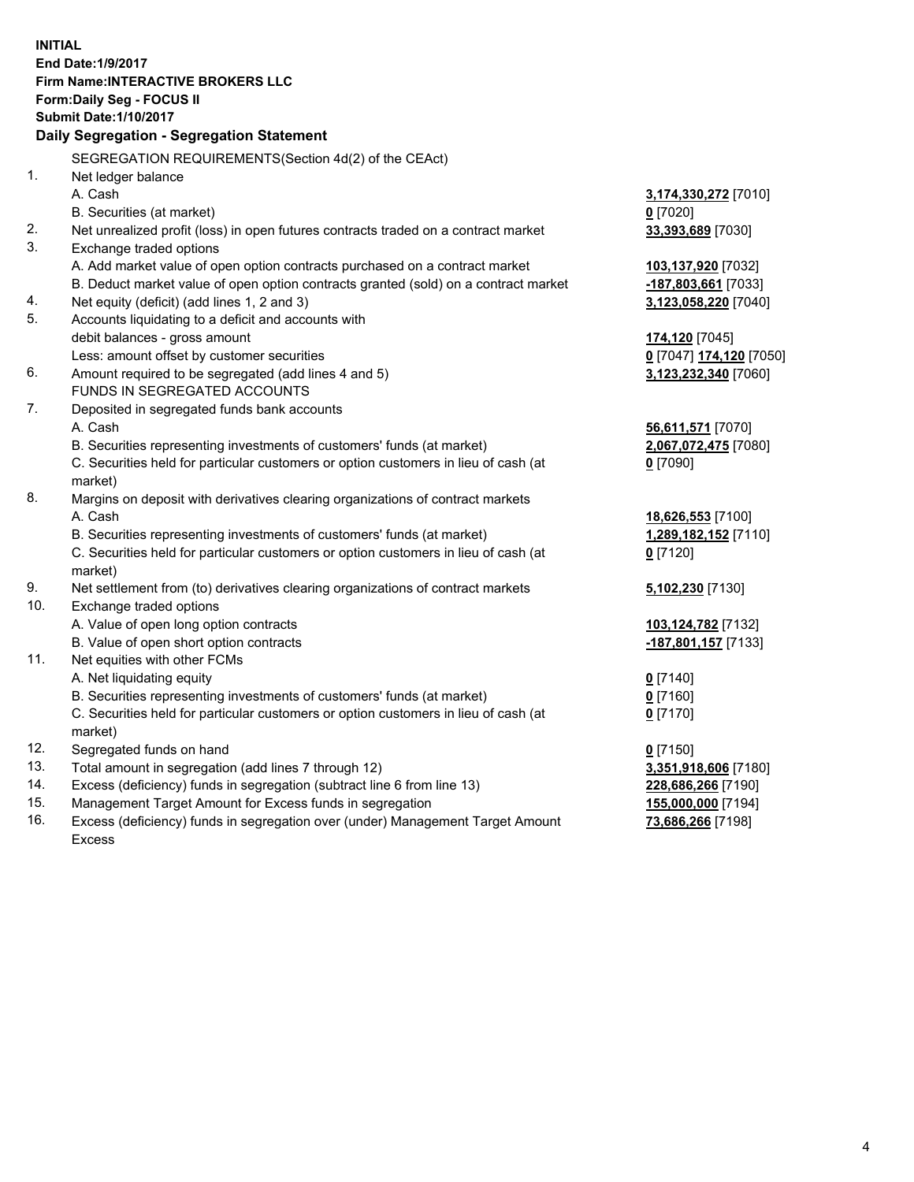**INITIAL End Date:1/9/2017 Firm Name:INTERACTIVE BROKERS LLC Form:Daily Seg - FOCUS II Submit Date:1/10/2017 Daily Segregation - Segregation Statement** SEGREGATION REQUIREMENTS(Section 4d(2) of the CEAct) 1. Net ledger balance A. Cash **3,174,330,272** [7010] B. Securities (at market) **0** [7020] 2. Net unrealized profit (loss) in open futures contracts traded on a contract market **33,393,689** [7030] 3. Exchange traded options A. Add market value of open option contracts purchased on a contract market **103,137,920** [7032] B. Deduct market value of open option contracts granted (sold) on a contract market **-187,803,661** [7033] 4. Net equity (deficit) (add lines 1, 2 and 3) **3,123,058,220** [7040] 5. Accounts liquidating to a deficit and accounts with debit balances - gross amount **174,120** [7045] Less: amount offset by customer securities **0** [7047] **174,120** [7050] 6. Amount required to be segregated (add lines 4 and 5) **3,123,232,340** [7060] FUNDS IN SEGREGATED ACCOUNTS 7. Deposited in segregated funds bank accounts A. Cash **56,611,571** [7070] B. Securities representing investments of customers' funds (at market) **2,067,072,475** [7080] C. Securities held for particular customers or option customers in lieu of cash (at market) **0** [7090] 8. Margins on deposit with derivatives clearing organizations of contract markets A. Cash **18,626,553** [7100] B. Securities representing investments of customers' funds (at market) **1,289,182,152** [7110] C. Securities held for particular customers or option customers in lieu of cash (at market) **0** [7120] 9. Net settlement from (to) derivatives clearing organizations of contract markets **5,102,230** [7130] 10. Exchange traded options A. Value of open long option contracts **103,124,782** [7132] B. Value of open short option contracts **-187,801,157** [7133] 11. Net equities with other FCMs A. Net liquidating equity **0** [7140] B. Securities representing investments of customers' funds (at market) **0** [7160] C. Securities held for particular customers or option customers in lieu of cash (at market) **0** [7170] 12. Segregated funds on hand **0** [7150] 13. Total amount in segregation (add lines 7 through 12) **3,351,918,606** [7180] 14. Excess (deficiency) funds in segregation (subtract line 6 from line 13) **228,686,266** [7190] 15. Management Target Amount for Excess funds in segregation **155,000,000** [7194] **73,686,266** [7198]

16. Excess (deficiency) funds in segregation over (under) Management Target Amount Excess